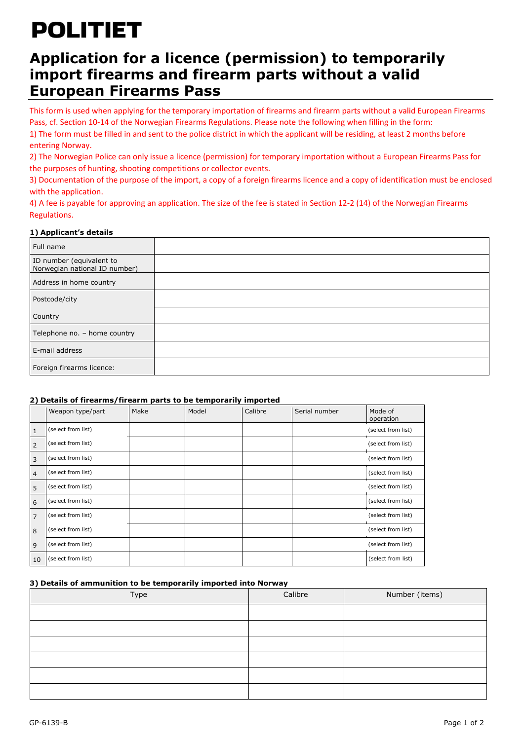# **POLITIET**

### **Application for a licence (permission) to temporarily import firearms and firearm parts without a valid European Firearms Pass**

This form is used when applying for the temporary importation of firearms and firearm parts without a valid European Firearms Pass, cf. Section 10-14 of the Norwegian Firearms Regulations. Please note the following when filling in the form: 1) The form must be filled in and sent to the police district in which the applicant will be residing, at least 2 months before entering Norway.

2) The Norwegian Police can only issue a licence (permission) for temporary importation without a European Firearms Pass for the purposes of hunting, shooting competitions or collector events.

3) Documentation of the purpose of the import, a copy of a foreign firearms licence and a copy of identification must be enclosed with the application.

4) A fee is payable for approving an application. The size of the fee is stated in Section 12-2 (14) of the Norwegian Firearms Regulations.

### **1) Applicant's details**

| Full name                                                 |  |
|-----------------------------------------------------------|--|
| ID number (equivalent to<br>Norwegian national ID number) |  |
| Address in home country                                   |  |
| Postcode/city                                             |  |
| Country                                                   |  |
| Telephone no. - home country                              |  |
| E-mail address                                            |  |
| Foreign firearms licence:                                 |  |

### **2) Details of firearms/firearm parts to be temporarily imported**

|    | Weapon type/part   | Make | Model | Calibre | Serial number | Mode of<br>operation |
|----|--------------------|------|-------|---------|---------------|----------------------|
| 1  | (select from list) |      |       |         |               | (select from list)   |
| 2  | (select from list) |      |       |         |               | (select from list)   |
| 3  | (select from list) |      |       |         |               | (select from list)   |
| 4  | (select from list) |      |       |         |               | (select from list)   |
| 5  | (select from list) |      |       |         |               | (select from list)   |
| 6  | (select from list) |      |       |         |               | (select from list)   |
| 7  | (select from list) |      |       |         |               | (select from list)   |
| 8  | (select from list) |      |       |         |               | (select from list)   |
| 9  | (select from list) |      |       |         |               | (select from list)   |
| 10 | (select from list) |      |       |         |               | (select from list)   |

### **3) Details of ammunition to be temporarily imported into Norway**

| Type | Calibre | Number (items) |
|------|---------|----------------|
|      |         |                |
|      |         |                |
|      |         |                |
|      |         |                |
|      |         |                |
|      |         |                |